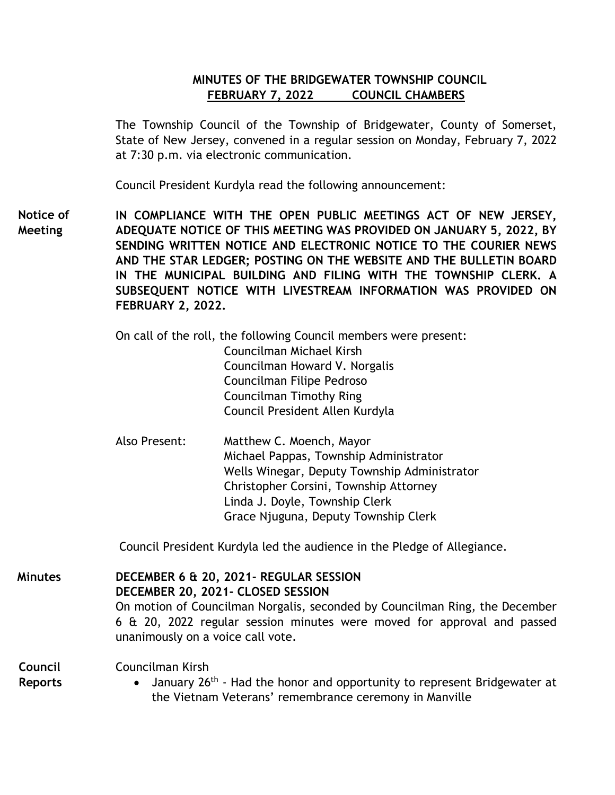# **MINUTES OF THE BRIDGEWATER TOWNSHIP COUNCIL FEBRUARY 7, 2022 COUNCIL CHAMBERS**

The Township Council of the Township of Bridgewater, County of Somerset, State of New Jersey, convened in a regular session on Monday, February 7, 2022 at 7:30 p.m. via electronic communication.

Council President Kurdyla read the following announcement:

**IN COMPLIANCE WITH THE OPEN PUBLIC MEETINGS ACT OF NEW JERSEY, ADEQUATE NOTICE OF THIS MEETING WAS PROVIDED ON JANUARY 5, 2022, BY SENDING WRITTEN NOTICE AND ELECTRONIC NOTICE TO THE COURIER NEWS AND THE STAR LEDGER; POSTING ON THE WEBSITE AND THE BULLETIN BOARD IN THE MUNICIPAL BUILDING AND FILING WITH THE TOWNSHIP CLERK. A SUBSEQUENT NOTICE WITH LIVESTREAM INFORMATION WAS PROVIDED ON FEBRUARY 2, 2022. Notice of Meeting**

> On call of the roll, the following Council members were present: Councilman Michael Kirsh Councilman Howard V. Norgalis Councilman Filipe Pedroso Councilman Timothy Ring Council President Allen Kurdyla

Also Present: Matthew C. Moench, Mayor Michael Pappas, Township Administrator Wells Winegar, Deputy Township Administrator Christopher Corsini, Township Attorney Linda J. Doyle, Township Clerk Grace Njuguna, Deputy Township Clerk

Council President Kurdyla led the audience in the Pledge of Allegiance.

**DECEMBER 6 & 20, 2021- REGULAR SESSION DECEMBER 20, 2021- CLOSED SESSION**  On motion of Councilman Norgalis, seconded by Councilman Ring, the December 6 & 20, 2022 regular session minutes were moved for approval and passed unanimously on a voice call vote. **Minutes**

Councilman Kirsh **Council** 

**Reports**

• January 26<sup>th</sup> - Had the honor and opportunity to represent Bridgewater at the Vietnam Veterans' remembrance ceremony in Manville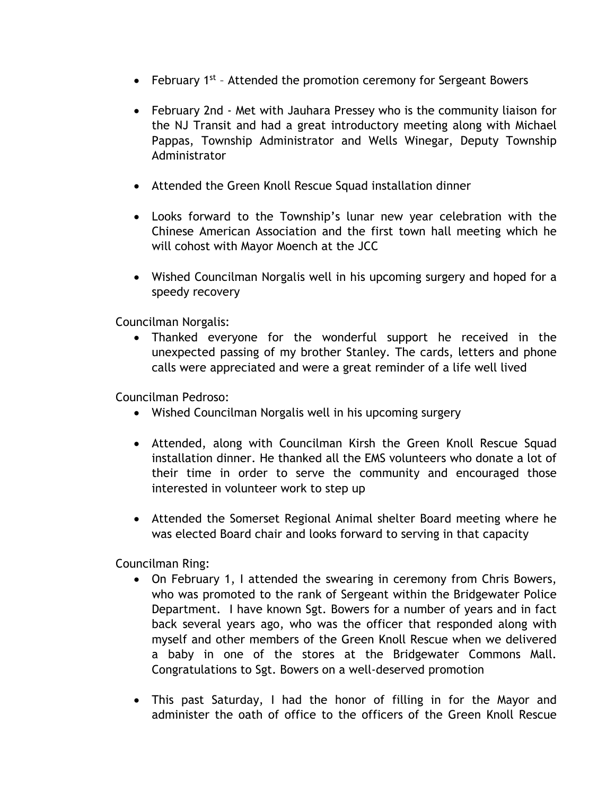- February  $1^{st}$  Attended the promotion ceremony for Sergeant Bowers
- February 2nd Met with Jauhara Pressey who is the community liaison for the NJ Transit and had a great introductory meeting along with Michael Pappas, Township Administrator and Wells Winegar, Deputy Township Administrator
- Attended the Green Knoll Rescue Squad installation dinner
- Looks forward to the Township's lunar new year celebration with the Chinese American Association and the first town hall meeting which he will cohost with Mayor Moench at the JCC
- Wished Councilman Norgalis well in his upcoming surgery and hoped for a speedy recovery

Councilman Norgalis:

 Thanked everyone for the wonderful support he received in the unexpected passing of my brother Stanley. The cards, letters and phone calls were appreciated and were a great reminder of a life well lived

Councilman Pedroso:

- Wished Councilman Norgalis well in his upcoming surgery
- Attended, along with Councilman Kirsh the Green Knoll Rescue Squad installation dinner. He thanked all the EMS volunteers who donate a lot of their time in order to serve the community and encouraged those interested in volunteer work to step up
- Attended the Somerset Regional Animal shelter Board meeting where he was elected Board chair and looks forward to serving in that capacity

Councilman Ring:

- On February 1, I attended the swearing in ceremony from Chris Bowers, who was promoted to the rank of Sergeant within the Bridgewater Police Department. I have known Sgt. Bowers for a number of years and in fact back several years ago, who was the officer that responded along with myself and other members of the Green Knoll Rescue when we delivered a baby in one of the stores at the Bridgewater Commons Mall. Congratulations to Sgt. Bowers on a well-deserved promotion
- This past Saturday, I had the honor of filling in for the Mayor and administer the oath of office to the officers of the Green Knoll Rescue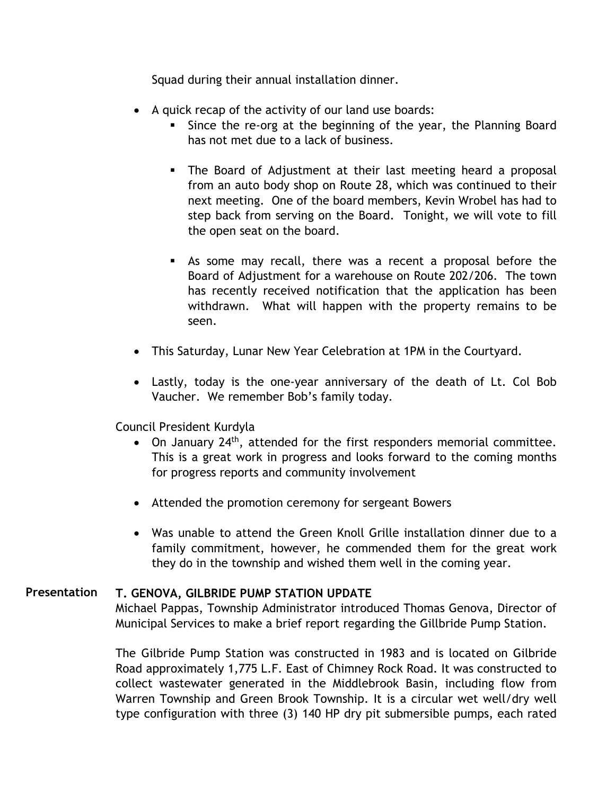Squad during their annual installation dinner.

- A quick recap of the activity of our land use boards:
	- Since the re-org at the beginning of the year, the Planning Board has not met due to a lack of business.
	- The Board of Adjustment at their last meeting heard a proposal from an auto body shop on Route 28, which was continued to their next meeting. One of the board members, Kevin Wrobel has had to step back from serving on the Board. Tonight, we will vote to fill the open seat on the board.
	- As some may recall, there was a recent a proposal before the Board of Adjustment for a warehouse on Route 202/206. The town has recently received notification that the application has been withdrawn. What will happen with the property remains to be seen.
- This Saturday, Lunar New Year Celebration at 1PM in the Courtyard.
- Lastly, today is the one-year anniversary of the death of Lt. Col Bob Vaucher. We remember Bob's family today.

Council President Kurdyla

- $\bullet$  On January 24<sup>th</sup>, attended for the first responders memorial committee. This is a great work in progress and looks forward to the coming months for progress reports and community involvement
- Attended the promotion ceremony for sergeant Bowers
- Was unable to attend the Green Knoll Grille installation dinner due to a family commitment, however, he commended them for the great work they do in the township and wished them well in the coming year.

#### **T. GENOVA, GILBRIDE PUMP STATION UPDATE Presentation**

Michael Pappas, Township Administrator introduced Thomas Genova, Director of Municipal Services to make a brief report regarding the Gillbride Pump Station.

The Gilbride Pump Station was constructed in 1983 and is located on Gilbride Road approximately 1,775 L.F. East of Chimney Rock Road. It was constructed to collect wastewater generated in the Middlebrook Basin, including flow from Warren Township and Green Brook Township. It is a circular wet well/dry well type configuration with three (3) 140 HP dry pit submersible pumps, each rated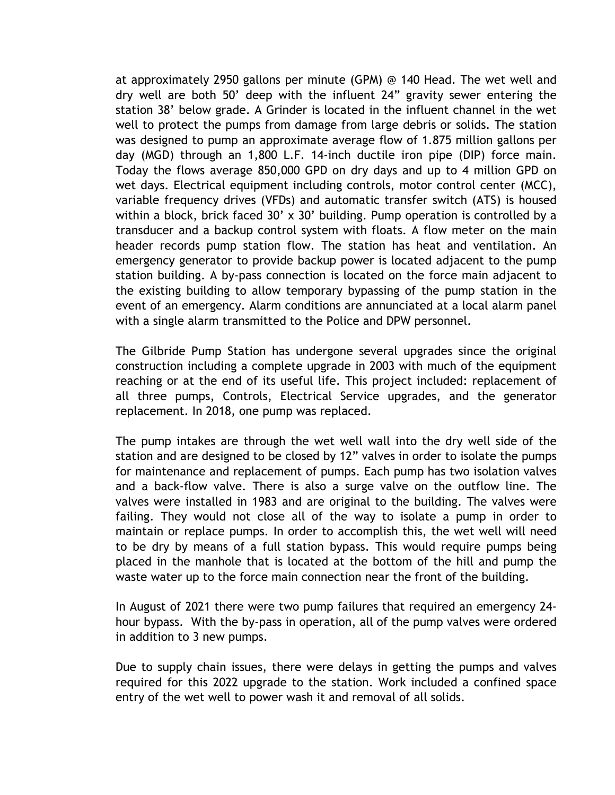at approximately 2950 gallons per minute (GPM) @ 140 Head. The wet well and dry well are both 50' deep with the influent 24" gravity sewer entering the station 38' below grade. A Grinder is located in the influent channel in the wet well to protect the pumps from damage from large debris or solids. The station was designed to pump an approximate average flow of 1.875 million gallons per day (MGD) through an 1,800 L.F. 14-inch ductile iron pipe (DIP) force main. Today the flows average 850,000 GPD on dry days and up to 4 million GPD on wet days. Electrical equipment including controls, motor control center (MCC), variable frequency drives (VFDs) and automatic transfer switch (ATS) is housed within a block, brick faced 30' x 30' building. Pump operation is controlled by a transducer and a backup control system with floats. A flow meter on the main header records pump station flow. The station has heat and ventilation. An emergency generator to provide backup power is located adjacent to the pump station building. A by-pass connection is located on the force main adjacent to the existing building to allow temporary bypassing of the pump station in the event of an emergency. Alarm conditions are annunciated at a local alarm panel with a single alarm transmitted to the Police and DPW personnel.

The Gilbride Pump Station has undergone several upgrades since the original construction including a complete upgrade in 2003 with much of the equipment reaching or at the end of its useful life. This project included: replacement of all three pumps, Controls, Electrical Service upgrades, and the generator replacement. In 2018, one pump was replaced.

The pump intakes are through the wet well wall into the dry well side of the station and are designed to be closed by 12" valves in order to isolate the pumps for maintenance and replacement of pumps. Each pump has two isolation valves and a back-flow valve. There is also a surge valve on the outflow line. The valves were installed in 1983 and are original to the building. The valves were failing. They would not close all of the way to isolate a pump in order to maintain or replace pumps. In order to accomplish this, the wet well will need to be dry by means of a full station bypass. This would require pumps being placed in the manhole that is located at the bottom of the hill and pump the waste water up to the force main connection near the front of the building.

In August of 2021 there were two pump failures that required an emergency 24 hour bypass. With the by-pass in operation, all of the pump valves were ordered in addition to 3 new pumps.

Due to supply chain issues, there were delays in getting the pumps and valves required for this 2022 upgrade to the station. Work included a confined space entry of the wet well to power wash it and removal of all solids.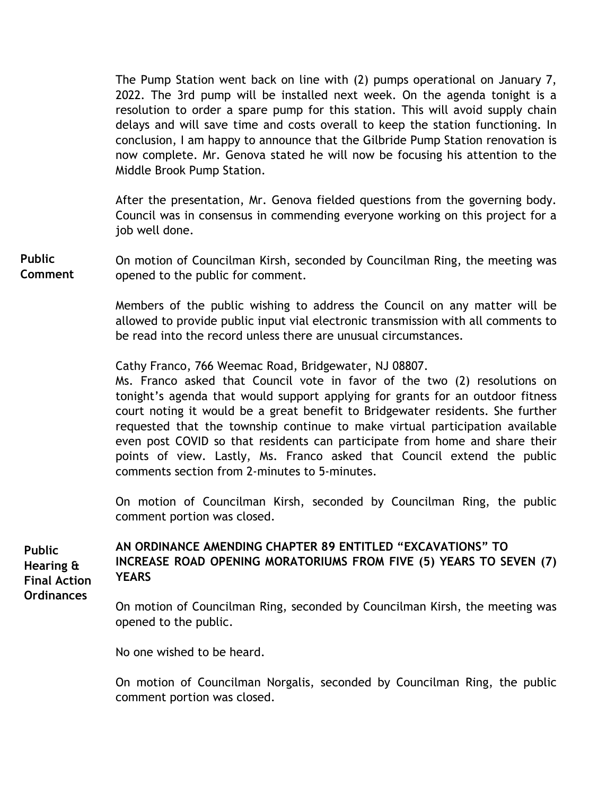The Pump Station went back on line with (2) pumps operational on January 7, 2022. The 3rd pump will be installed next week. On the agenda tonight is a resolution to order a spare pump for this station. This will avoid supply chain delays and will save time and costs overall to keep the station functioning. In conclusion, I am happy to announce that the Gilbride Pump Station renovation is now complete. Mr. Genova stated he will now be focusing his attention to the Middle Brook Pump Station.

After the presentation, Mr. Genova fielded questions from the governing body. Council was in consensus in commending everyone working on this project for a job well done.

On motion of Councilman Kirsh, seconded by Councilman Ring, the meeting was opened to the public for comment. **Public Comment** 

> Members of the public wishing to address the Council on any matter will be allowed to provide public input vial electronic transmission with all comments to be read into the record unless there are unusual circumstances.

Cathy Franco, 766 Weemac Road, Bridgewater, NJ 08807.

Ms. Franco asked that Council vote in favor of the two (2) resolutions on tonight's agenda that would support applying for grants for an outdoor fitness court noting it would be a great benefit to Bridgewater residents. She further requested that the township continue to make virtual participation available even post COVID so that residents can participate from home and share their points of view. Lastly, Ms. Franco asked that Council extend the public comments section from 2-minutes to 5-minutes.

On motion of Councilman Kirsh, seconded by Councilman Ring, the public comment portion was closed.

**YEARS Public Hearing & Final Action Ordinances** 

# **AN ORDINANCE AMENDING CHAPTER 89 ENTITLED "EXCAVATIONS" TO INCREASE ROAD OPENING MORATORIUMS FROM FIVE (5) YEARS TO SEVEN (7)**

On motion of Councilman Ring, seconded by Councilman Kirsh, the meeting was opened to the public.

No one wished to be heard.

On motion of Councilman Norgalis, seconded by Councilman Ring, the public comment portion was closed.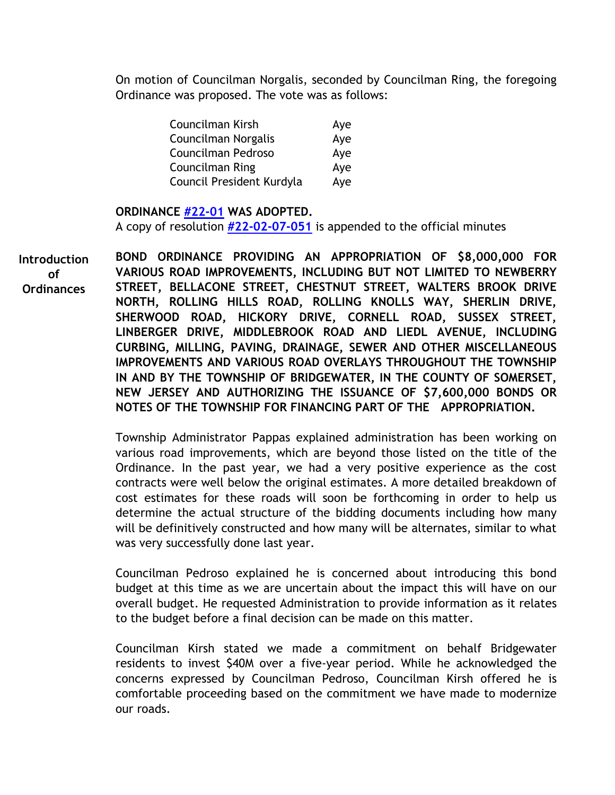On motion of Councilman Norgalis, seconded by Councilman Ring, the foregoing Ordinance was proposed. The vote was as follows:

| Councilman Kirsh          | Aye |
|---------------------------|-----|
| Councilman Norgalis       | Aye |
| Councilman Pedroso        | Aye |
| Councilman Ring           | Aye |
| Council President Kurdyla | Aye |

#### **ORDINANCE [#22-01](https://www.bridgewaternj.gov/wp-content/uploads/2022/05/22-01-Amending-Chapter-89-Road-Openings.pdf) WAS ADOPTED.**

A copy of resolution **[#22-02-07-051](https://www.bridgewaternj.gov/wp-content/uploads/2022/05/22-02-07-051.pdf)** is appended to the official minutes

**BOND ORDINANCE PROVIDING AN APPROPRIATION OF \$8,000,000 FOR VARIOUS ROAD IMPROVEMENTS, INCLUDING BUT NOT LIMITED TO NEWBERRY STREET, BELLACONE STREET, CHESTNUT STREET, WALTERS BROOK DRIVE NORTH, ROLLING HILLS ROAD, ROLLING KNOLLS WAY, SHERLIN DRIVE, SHERWOOD ROAD, HICKORY DRIVE, CORNELL ROAD, SUSSEX STREET, LINBERGER DRIVE, MIDDLEBROOK ROAD AND LIEDL AVENUE, INCLUDING CURBING, MILLING, PAVING, DRAINAGE, SEWER AND OTHER MISCELLANEOUS IMPROVEMENTS AND VARIOUS ROAD OVERLAYS THROUGHOUT THE TOWNSHIP IN AND BY THE TOWNSHIP OF BRIDGEWATER, IN THE COUNTY OF SOMERSET, NEW JERSEY AND AUTHORIZING THE ISSUANCE OF \$7,600,000 BONDS OR NOTES OF THE TOWNSHIP FOR FINANCING PART OF THE APPROPRIATION. Introduction of Ordinances** 

> Township Administrator Pappas explained administration has been working on various road improvements, which are beyond those listed on the title of the Ordinance. In the past year, we had a very positive experience as the cost contracts were well below the original estimates. A more detailed breakdown of cost estimates for these roads will soon be forthcoming in order to help us determine the actual structure of the bidding documents including how many will be definitively constructed and how many will be alternates, similar to what was very successfully done last year.

> Councilman Pedroso explained he is concerned about introducing this bond budget at this time as we are uncertain about the impact this will have on our overall budget. He requested Administration to provide information as it relates to the budget before a final decision can be made on this matter.

> Councilman Kirsh stated we made a commitment on behalf Bridgewater residents to invest \$40M over a five-year period. While he acknowledged the concerns expressed by Councilman Pedroso, Councilman Kirsh offered he is comfortable proceeding based on the commitment we have made to modernize our roads.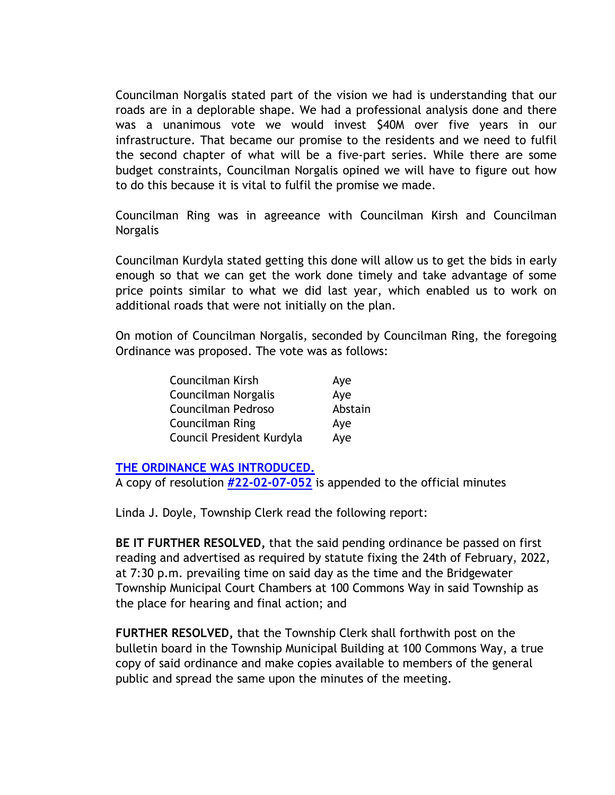Councilman Norgalis stated part of the vision we had is understanding that our roads are in a deplorable shape. We had a professional analysis done and there was a unanimous vote we would invest \$40M over five years in our infrastructure. That became our promise to the residents and we need to fulfil the second chapter of what will be a five-part series. While there are some budget constraints, Councilman Norgalis opined we will have to figure out how to do this because it is vital to fulfil the promise we made.

Councilman Ring was in agreeance with Councilman Kirsh and Councilman Norgalis

Councilman Kurdyla stated getting this done will allow us to get the bids in early enough so that we can get the work done timely and take advantage of some price points similar to what we did last year, which enabled us to work on additional roads that were not initially on the plan.

On motion of Councilman Norgalis, seconded by Councilman Ring, the foregoing Ordinance was proposed. The vote was as follows:

| Councilman Kirsh          | Aye     |
|---------------------------|---------|
| Councilman Norgalis       | Aye     |
| Councilman Pedroso        | Abstain |
| <b>Councilman Ring</b>    | Aye     |
| Council President Kurdyla | Aye     |

### **[THE ORDINANCE WAS INTRODUCED.](https://www.bridgewaternj.gov/wp-content/uploads/2022/05/22-03-Bond-Ordinance-8-Mil.pdf)**

A copy of resolution **[#22-02-07-052](https://www.bridgewaternj.gov/wp-content/uploads/2022/05/22-02-07-052.pdf)** is appended to the official minutes

Linda J. Doyle, Township Clerk read the following report:

**BE IT FURTHER RESOLVED,** that the said pending ordinance be passed on first reading and advertised as required by statute fixing the 24th of February, 2022, at 7:30 p.m. prevailing time on said day as the time and the Bridgewater Township Municipal Court Chambers at 100 Commons Way in said Township as the place for hearing and final action; and

**FURTHER RESOLVED,** that the Township Clerk shall forthwith post on the bulletin board in the Township Municipal Building at 100 Commons Way, a true copy of said ordinance and make copies available to members of the general public and spread the same upon the minutes of the meeting.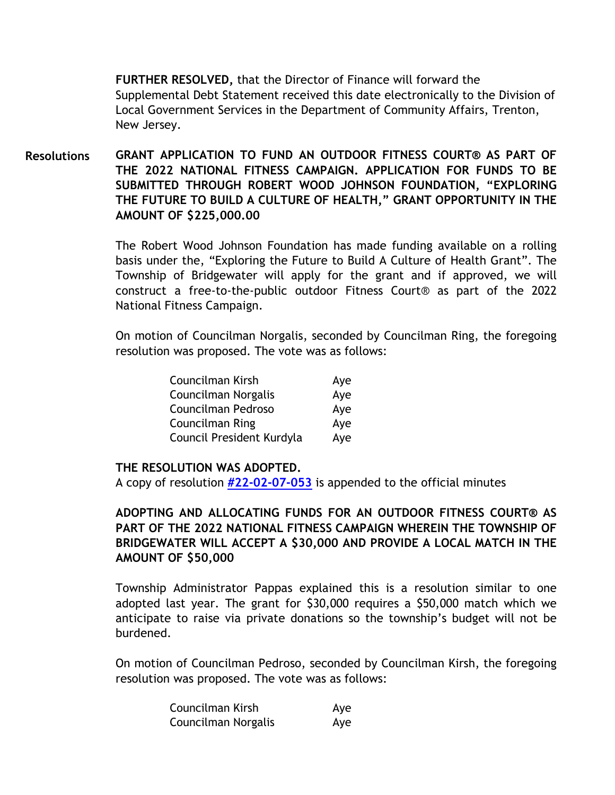**FURTHER RESOLVED,** that the Director of Finance will forward the Supplemental Debt Statement received this date electronically to the Division of Local Government Services in the Department of Community Affairs, Trenton, New Jersey.

**GRANT APPLICATION TO FUND AN OUTDOOR FITNESS COURT® AS PART OF THE 2022 NATIONAL FITNESS CAMPAIGN. APPLICATION FOR FUNDS TO BE SUBMITTED THROUGH ROBERT WOOD JOHNSON FOUNDATION, "EXPLORING THE FUTURE TO BUILD A CULTURE OF HEALTH," GRANT OPPORTUNITY IN THE AMOUNT OF \$225,000.00 Resolutions**

> The Robert Wood Johnson Foundation has made funding available on a rolling basis under the, "Exploring the Future to Build A Culture of Health Grant". The Township of Bridgewater will apply for the grant and if approved, we will construct a free-to-the-public outdoor Fitness Court® as part of the 2022 National Fitness Campaign.

> On motion of Councilman Norgalis, seconded by Councilman Ring, the foregoing resolution was proposed. The vote was as follows:

| Councilman Kirsh          | Aye |
|---------------------------|-----|
| Councilman Norgalis       | Aye |
| Councilman Pedroso        | Aye |
| Councilman Ring           | Aye |
| Council President Kurdyla | Aye |

#### **THE RESOLUTION WAS ADOPTED.**

A copy of resolution **[#22-02-07-053](https://www.bridgewaternj.gov/wp-content/uploads/2022/05/22-02-07-053.pdf)** is appended to the official minutes

**ADOPTING AND ALLOCATING FUNDS FOR AN OUTDOOR FITNESS COURT® AS PART OF THE 2022 NATIONAL FITNESS CAMPAIGN WHEREIN THE TOWNSHIP OF BRIDGEWATER WILL ACCEPT A \$30,000 AND PROVIDE A LOCAL MATCH IN THE AMOUNT OF \$50,000** 

Township Administrator Pappas explained this is a resolution similar to one adopted last year. The grant for \$30,000 requires a \$50,000 match which we anticipate to raise via private donations so the township's budget will not be burdened.

On motion of Councilman Pedroso, seconded by Councilman Kirsh, the foregoing resolution was proposed. The vote was as follows:

| Councilman Kirsh    | Aye |
|---------------------|-----|
| Councilman Norgalis | Aye |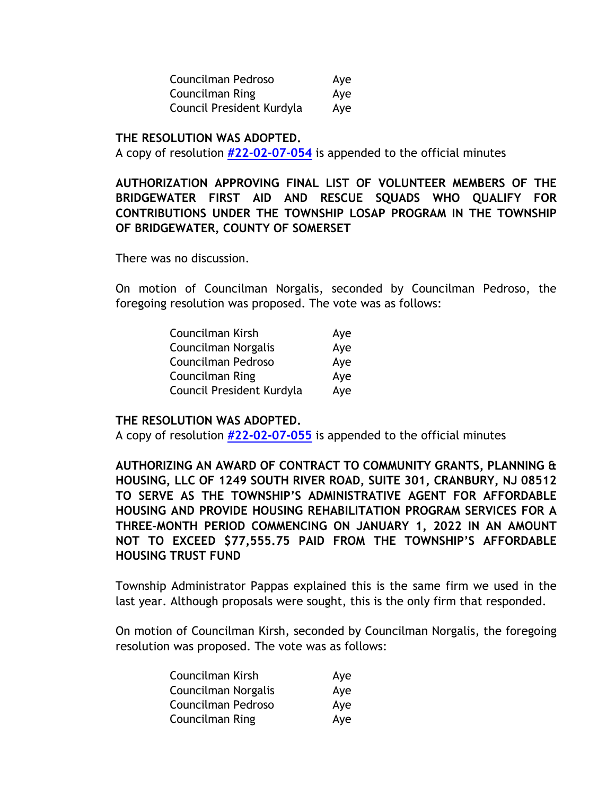| Councilman Pedroso        | Aye |
|---------------------------|-----|
| Councilman Ring           | Aye |
| Council President Kurdyla | Aye |

#### **THE RESOLUTION WAS ADOPTED.**

A copy of resolution **[#22-02-07-054](https://www.bridgewaternj.gov/wp-content/uploads/2022/05/22-02-07-054.pdf)** is appended to the official minutes

# **AUTHORIZATION APPROVING FINAL LIST OF VOLUNTEER MEMBERS OF THE BRIDGEWATER FIRST AID AND RESCUE SQUADS WHO QUALIFY FOR CONTRIBUTIONS UNDER THE TOWNSHIP LOSAP PROGRAM IN THE TOWNSHIP OF BRIDGEWATER, COUNTY OF SOMERSET**

There was no discussion.

On motion of Councilman Norgalis, seconded by Councilman Pedroso, the foregoing resolution was proposed. The vote was as follows:

| Councilman Kirsh          | Aye |
|---------------------------|-----|
| Councilman Norgalis       | Aye |
| Councilman Pedroso        | Aye |
| <b>Councilman Ring</b>    | Aye |
| Council President Kurdyla | Aye |

#### **THE RESOLUTION WAS ADOPTED.**

A copy of resolution **[#22-02-07-055](https://www.bridgewaternj.gov/wp-content/uploads/2022/05/22-02-07-055.pdf)** is appended to the official minutes

**AUTHORIZING AN AWARD OF CONTRACT TO COMMUNITY GRANTS, PLANNING & HOUSING, LLC OF 1249 SOUTH RIVER ROAD, SUITE 301, CRANBURY, NJ 08512 TO SERVE AS THE TOWNSHIP'S ADMINISTRATIVE AGENT FOR AFFORDABLE HOUSING AND PROVIDE HOUSING REHABILITATION PROGRAM SERVICES FOR A THREE-MONTH PERIOD COMMENCING ON JANUARY 1, 2022 IN AN AMOUNT NOT TO EXCEED \$77,555.75 PAID FROM THE TOWNSHIP'S AFFORDABLE HOUSING TRUST FUND** 

Township Administrator Pappas explained this is the same firm we used in the last year. Although proposals were sought, this is the only firm that responded.

On motion of Councilman Kirsh, seconded by Councilman Norgalis, the foregoing resolution was proposed. The vote was as follows:

| Councilman Kirsh    | Aye |
|---------------------|-----|
| Councilman Norgalis | Aye |
| Councilman Pedroso  | Aye |
| Councilman Ring     | Aye |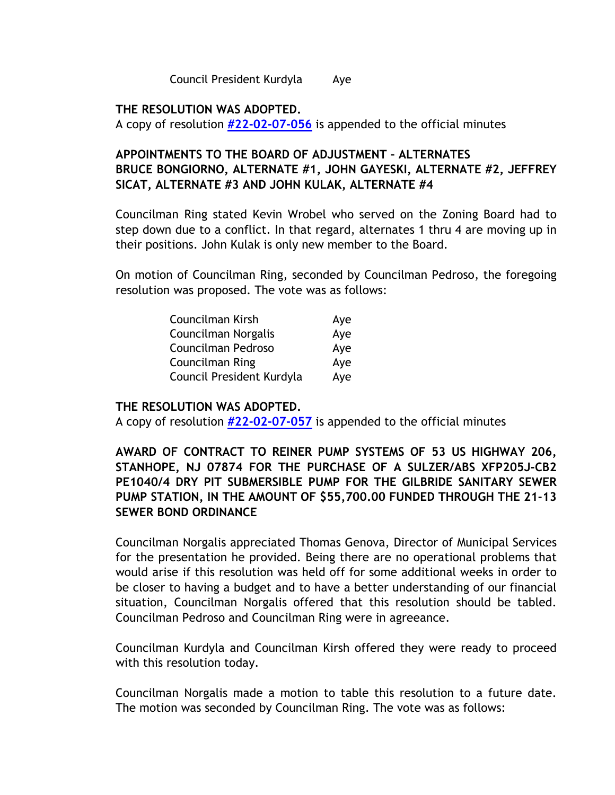Council President Kurdyla Aye

### **THE RESOLUTION WAS ADOPTED.**

A copy of resolution **[#22-02-07-056](https://www.bridgewaternj.gov/wp-content/uploads/2022/05/22-02-07-056.pdf)** is appended to the official minutes

# **APPOINTMENTS TO THE BOARD OF ADJUSTMENT – ALTERNATES BRUCE BONGIORNO, ALTERNATE #1, JOHN GAYESKI, ALTERNATE #2, JEFFREY SICAT, ALTERNATE #3 AND JOHN KULAK, ALTERNATE #4**

Councilman Ring stated Kevin Wrobel who served on the Zoning Board had to step down due to a conflict. In that regard, alternates 1 thru 4 are moving up in their positions. John Kulak is only new member to the Board.

On motion of Councilman Ring, seconded by Councilman Pedroso, the foregoing resolution was proposed. The vote was as follows:

| Councilman Kirsh          | Aye |
|---------------------------|-----|
| Councilman Norgalis       | Aye |
| Councilman Pedroso        | Aye |
| <b>Councilman Ring</b>    | Aye |
| Council President Kurdyla | Aye |

### **THE RESOLUTION WAS ADOPTED.**

A copy of resolution **[#22-02-07-057](https://www.bridgewaternj.gov/wp-content/uploads/2022/05/22-02-07-057.pdf)** is appended to the official minutes

# **AWARD OF CONTRACT TO REINER PUMP SYSTEMS OF 53 US HIGHWAY 206, STANHOPE, NJ 07874 FOR THE PURCHASE OF A SULZER/ABS XFP205J-CB2 PE1040/4 DRY PIT SUBMERSIBLE PUMP FOR THE GILBRIDE SANITARY SEWER PUMP STATION, IN THE AMOUNT OF \$55,700.00 FUNDED THROUGH THE 21-13 SEWER BOND ORDINANCE**

Councilman Norgalis appreciated Thomas Genova, Director of Municipal Services for the presentation he provided. Being there are no operational problems that would arise if this resolution was held off for some additional weeks in order to be closer to having a budget and to have a better understanding of our financial situation, Councilman Norgalis offered that this resolution should be tabled. Councilman Pedroso and Councilman Ring were in agreeance.

Councilman Kurdyla and Councilman Kirsh offered they were ready to proceed with this resolution today.

Councilman Norgalis made a motion to table this resolution to a future date. The motion was seconded by Councilman Ring. The vote was as follows: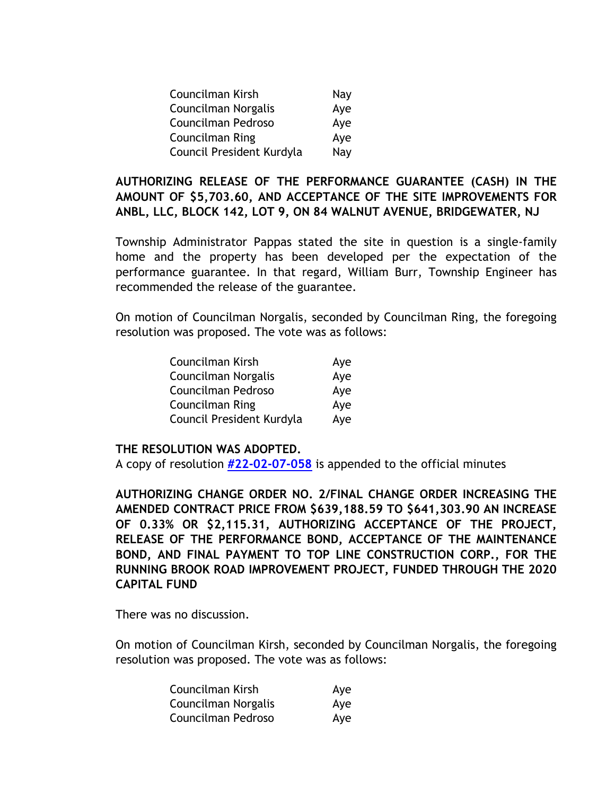| Councilman Kirsh          | Nay |
|---------------------------|-----|
| Councilman Norgalis       | Aye |
| Councilman Pedroso        | Aye |
| Councilman Ring           | Aye |
| Council President Kurdyla | Nay |

**AUTHORIZING RELEASE OF THE PERFORMANCE GUARANTEE (CASH) IN THE AMOUNT OF \$5,703.60, AND ACCEPTANCE OF THE SITE IMPROVEMENTS FOR ANBL, LLC, BLOCK 142, LOT 9, ON 84 WALNUT AVENUE, BRIDGEWATER, NJ** 

Township Administrator Pappas stated the site in question is a single-family home and the property has been developed per the expectation of the performance guarantee. In that regard, William Burr, Township Engineer has recommended the release of the guarantee.

On motion of Councilman Norgalis, seconded by Councilman Ring, the foregoing resolution was proposed. The vote was as follows:

| Councilman Kirsh          | Aye |
|---------------------------|-----|
| Councilman Norgalis       | Aye |
| Councilman Pedroso        | Aye |
| <b>Councilman Ring</b>    | Aye |
| Council President Kurdyla | Aye |

#### **THE RESOLUTION WAS ADOPTED.**

A copy of resolution **[#22-02-07-058](https://www.bridgewaternj.gov/wp-content/uploads/2022/05/22-02-07-058.pdf)** is appended to the official minutes

**AUTHORIZING CHANGE ORDER NO. 2/FINAL CHANGE ORDER INCREASING THE AMENDED CONTRACT PRICE FROM \$639,188.59 TO \$641,303.90 AN INCREASE OF 0.33% OR \$2,115.31, AUTHORIZING ACCEPTANCE OF THE PROJECT, RELEASE OF THE PERFORMANCE BOND, ACCEPTANCE OF THE MAINTENANCE BOND, AND FINAL PAYMENT TO TOP LINE CONSTRUCTION CORP., FOR THE RUNNING BROOK ROAD IMPROVEMENT PROJECT, FUNDED THROUGH THE 2020 CAPITAL FUND** 

There was no discussion.

On motion of Councilman Kirsh, seconded by Councilman Norgalis, the foregoing resolution was proposed. The vote was as follows:

| Councilman Kirsh    | Aye |
|---------------------|-----|
| Councilman Norgalis | Aye |
| Councilman Pedroso  | Aye |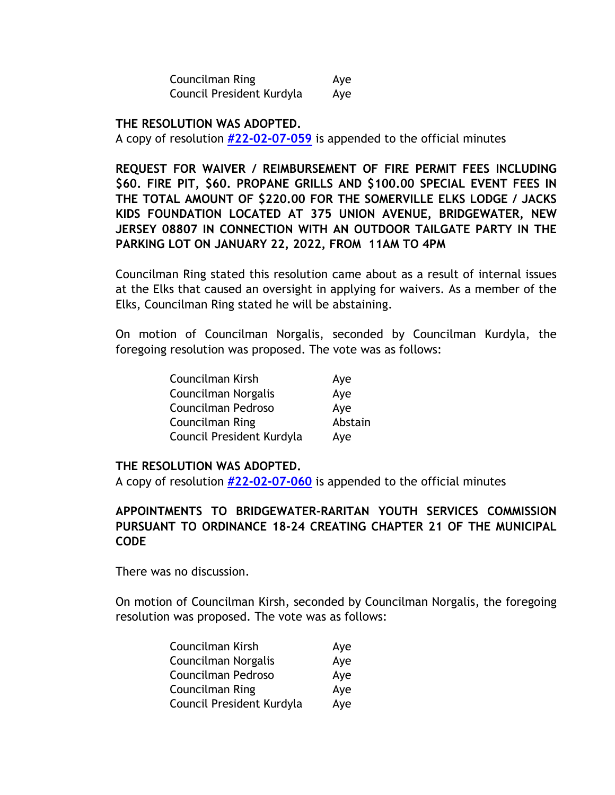Councilman Ring **Aye** Council President Kurdyla Aye

**THE RESOLUTION WAS ADOPTED.** 

A copy of resolution **[#22-02-07-059](https://www.bridgewaternj.gov/wp-content/uploads/2022/05/22-02-07-059.pdf)** is appended to the official minutes

**REQUEST FOR WAIVER / REIMBURSEMENT OF FIRE PERMIT FEES INCLUDING \$60. FIRE PIT, \$60. PROPANE GRILLS AND \$100.00 SPECIAL EVENT FEES IN THE TOTAL AMOUNT OF \$220.00 FOR THE SOMERVILLE ELKS LODGE / JACKS KIDS FOUNDATION LOCATED AT 375 UNION AVENUE, BRIDGEWATER, NEW JERSEY 08807 IN CONNECTION WITH AN OUTDOOR TAILGATE PARTY IN THE PARKING LOT ON JANUARY 22, 2022, FROM 11AM TO 4PM** 

Councilman Ring stated this resolution came about as a result of internal issues at the Elks that caused an oversight in applying for waivers. As a member of the Elks, Councilman Ring stated he will be abstaining.

On motion of Councilman Norgalis, seconded by Councilman Kurdyla, the foregoing resolution was proposed. The vote was as follows:

| Councilman Kirsh          | Aye     |
|---------------------------|---------|
| Councilman Norgalis       | Aye     |
| Councilman Pedroso        | Aye     |
| Councilman Ring           | Abstain |
| Council President Kurdyla | Aye     |

#### **THE RESOLUTION WAS ADOPTED.**

A copy of resolution **[#22-02-07-060](https://www.bridgewaternj.gov/wp-content/uploads/2022/05/22-02-07-060.pdf)** is appended to the official minutes

# **APPOINTMENTS TO BRIDGEWATER-RARITAN YOUTH SERVICES COMMISSION PURSUANT TO ORDINANCE 18-24 CREATING CHAPTER 21 OF THE MUNICIPAL CODE**

There was no discussion.

On motion of Councilman Kirsh, seconded by Councilman Norgalis, the foregoing resolution was proposed. The vote was as follows:

| Councilman Kirsh          | Aye |
|---------------------------|-----|
| Councilman Norgalis       | Aye |
| Councilman Pedroso        | Aye |
| Councilman Ring           | Aye |
| Council President Kurdyla | Aye |